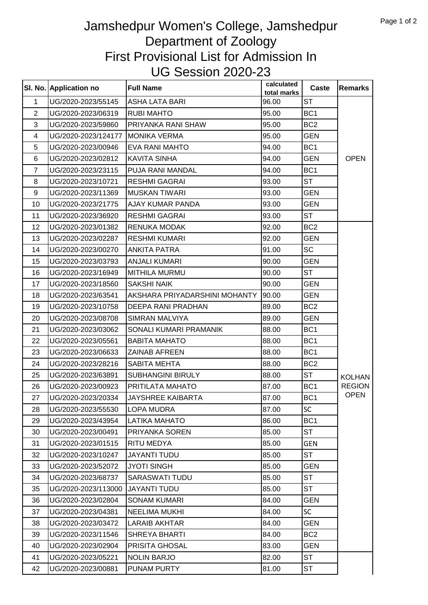## Jamshedpur Women's College, Jamshedpur Department of Zoology First Provisional List for Admission In UG Session 2020-23

|                | SI. No. Application no | <b>Full Name</b>              | calculated<br>total marks | <b>Caste</b>    | <b>Remarks</b> |
|----------------|------------------------|-------------------------------|---------------------------|-----------------|----------------|
| 1              | UG/2020-2023/55145     | <b>ASHA LATA BARI</b>         | 96.00                     | <b>ST</b>       |                |
| $\overline{2}$ | UG/2020-2023/06319     | <b>RUBI MAHTO</b>             | 95.00                     | BC <sub>1</sub> |                |
| 3              | UG/2020-2023/59860     | PRIYANKA RANI SHAW            | 95.00                     | BC <sub>2</sub> |                |
| 4              | UG/2020-2023/124177    | <b>MONIKA VERMA</b>           | 95.00                     | <b>GEN</b>      |                |
| 5              | UG/2020-2023/00946     | <b>EVA RANI MAHTO</b>         | 94.00                     | BC <sub>1</sub> |                |
| 6              | UG/2020-2023/02812     | <b>KAVITA SINHA</b>           | 94.00                     | <b>GEN</b>      | <b>OPEN</b>    |
| $\overline{7}$ | UG/2020-2023/23115     | PUJA RANI MANDAL              | 94.00                     | BC <sub>1</sub> |                |
| 8              | UG/2020-2023/10721     | <b>RESHMI GAGRAI</b>          | 93.00                     | <b>ST</b>       |                |
| 9              | UG/2020-2023/11369     | <b>MUSKAN TIWARI</b>          | 93.00                     | <b>GEN</b>      |                |
| 10             | UG/2020-2023/21775     | AJAY KUMAR PANDA              | 93.00                     | <b>GEN</b>      |                |
| 11             | UG/2020-2023/36920     | <b>RESHMI GAGRAI</b>          | 93.00                     | <b>ST</b>       |                |
| 12             | UG/2020-2023/01382     | <b>RENUKA MODAK</b>           | 92.00                     | BC <sub>2</sub> |                |
| 13             | UG/2020-2023/02287     | <b>RESHMI KUMARI</b>          | 92.00                     | <b>GEN</b>      |                |
| 14             | UG/2020-2023/00270     | <b>ANKITA PATRA</b>           | 91.00                     | <b>SC</b>       |                |
| 15             | UG/2020-2023/03793     | <b>ANJALI KUMARI</b>          | 90.00                     | <b>GEN</b>      |                |
| 16             | UG/2020-2023/16949     | <b>MITHILA MURMU</b>          | 90.00                     | <b>ST</b>       |                |
| 17             | UG/2020-2023/18560     | <b>SAKSHI NAIK</b>            | 90.00                     | <b>GEN</b>      |                |
| 18             | UG/2020-2023/63541     | AKSHARA PRIYADARSHINI MOHANTY | 90.00                     | <b>GEN</b>      |                |
| 19             | UG/2020-2023/10758     | <b>DEEPA RANI PRADHAN</b>     | 89.00                     | BC <sub>2</sub> |                |
| 20             | UG/2020-2023/08708     | <b>SIMRAN MALVIYA</b>         | 89.00                     | GEN             |                |
| 21             | UG/2020-2023/03062     | SONALI KUMARI PRAMANIK        | 88.00                     | BC <sub>1</sub> |                |
| 22             | UG/2020-2023/05561     | <b>BABITA MAHATO</b>          | 88.00                     | BC <sub>1</sub> |                |
| 23             | UG/2020-2023/06633     | <b>ZAINAB AFREEN</b>          | 88.00                     | BC <sub>1</sub> |                |
| 24             | UG/2020-2023/28216     | <b>SABITA MEHTA</b>           | 88.00                     | BC <sub>2</sub> |                |
| 25             | UG/2020-2023/63891     | <b>SUBHANGINI BIRULY</b>      | 88.00                     | <b>ST</b>       | <b>KOLHAN</b>  |
| 26             | UG/2020-2023/00923     | PRITILATA MAHATO              | 87.00                     | BC <sub>1</sub> | <b>REGION</b>  |
| 27             | UG/2020-2023/20334     | <b>JAYSHREE KAIBARTA</b>      | 87.00                     | BC <sub>1</sub> | <b>OPEN</b>    |
| 28             | UG/2020-2023/55530     | <b>LOPA MUDRA</b>             | 87.00                     | <b>SC</b>       |                |
| 29             | UG/2020-2023/43954     | LATIKA MAHATO                 | 86.00                     | BC <sub>1</sub> |                |
| 30             | UG/2020-2023/00491     | PRIYANKA SOREN                | 85.00                     | <b>ST</b>       |                |
| 31             | UG/2020-2023/01515     | RITU MEDYA                    | 85.00                     | <b>GEN</b>      |                |
| 32             | UG/2020-2023/10247     | <b>JAYANTI TUDU</b>           | 85.00                     | <b>ST</b>       |                |
| 33             | UG/2020-2023/52072     | <b>JYOTI SINGH</b>            | 85.00                     | <b>GEN</b>      |                |
| 34             | UG/2020-2023/68737     | SARASWATI TUDU                | 85.00                     | <b>ST</b>       |                |
| 35             | UG/2020-2023/113000    | <b>JAYANTI TUDU</b>           | 85.00                     | <b>ST</b>       |                |
| 36             | UG/2020-2023/02804     | <b>SONAM KUMARI</b>           | 84.00                     | <b>GEN</b>      |                |
| 37             | UG/2020-2023/04381     | <b>NEELIMA MUKHI</b>          | 84.00                     | <b>SC</b>       |                |
| 38             | UG/2020-2023/03472     | <b>LARAIB AKHTAR</b>          | 84.00                     | <b>GEN</b>      |                |
| 39             | UG/2020-2023/11546     | <b>SHREYA BHARTI</b>          | 84.00                     | BC <sub>2</sub> |                |
| 40             | UG/2020-2023/02904     | <b>PRISITA GHOSAL</b>         | 83.00                     | <b>GEN</b>      |                |
| 41             | UG/2020-2023/05221     | <b>NOLIN BARJO</b>            | 82.00                     | <b>ST</b>       |                |
| 42             | UG/2020-2023/00881     | PUNAM PURTY                   | 81.00                     | ST              |                |